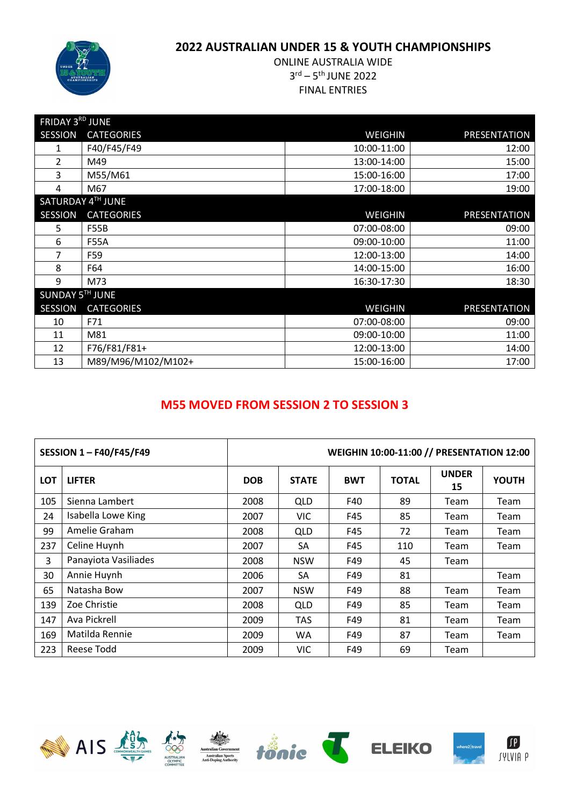

# ONLINE AUSTRALIA WIDE 3rd – 5th JUNE 2022 FINAL ENTRIES

| FRIDAY 3RD JUNE |                    |                |              |
|-----------------|--------------------|----------------|--------------|
| <b>SESSION</b>  | <b>CATEGORIES</b>  | <b>WEIGHIN</b> | PRESENTATION |
| 1               | F40/F45/F49        | 10:00-11:00    | 12:00        |
| $\overline{2}$  | M49                | 13:00-14:00    | 15:00        |
| 3               | M55/M61            | 15:00-16:00    | 17:00        |
| 4               | M67                | 17:00-18:00    | 19:00        |
|                 | SATURDAY 4TH JUNE  |                |              |
| <b>SESSION</b>  | <b>CATEGORIES</b>  | <b>WEIGHIN</b> | PRESENTATION |
| 5               | <b>F55B</b>        | 07:00-08:00    | 09:00        |
| 6               | <b>F55A</b>        | 09:00-10:00    | 11:00        |
| 7               | F59                | 12:00-13:00    | 14:00        |
| 8               | F64                | 14:00-15:00    | 16:00        |
| 9               | M73                | 16:30-17:30    | 18:30        |
| SUNDAY 5TH JUNE |                    |                |              |
| <b>SESSION</b>  | <b>CATEGORIES</b>  | <b>WEIGHIN</b> | PRESENTATION |
| 10              | F71                | 07:00-08:00    | 09:00        |
| 11              | M81                | 09:00-10:00    | 11:00        |
| 12              | F76/F81/F81+       | 12:00-13:00    | 14:00        |
| 13              | M89/M96/M102/M102+ | 15:00-16:00    | 17:00        |

# **M55 MOVED FROM SESSION 2 TO SESSION 3**

|            | <b>SESSION 1-F40/F45/F49</b> | WEIGHIN 10:00-11:00 // PRESENTATION 12:00 |              |            |              |                    |              |  |
|------------|------------------------------|-------------------------------------------|--------------|------------|--------------|--------------------|--------------|--|
| <b>LOT</b> | <b>LIFTER</b>                | <b>DOB</b>                                | <b>STATE</b> | <b>BWT</b> | <b>TOTAL</b> | <b>UNDER</b><br>15 | <b>YOUTH</b> |  |
| 105        | Sienna Lambert               | 2008                                      | <b>QLD</b>   | F40        | 89           | Team               | Team         |  |
| 24         | Isabella Lowe King           | 2007                                      | <b>VIC</b>   | F45        | 85           | Team               | Team         |  |
| 99         | Amelie Graham                | 2008                                      | <b>QLD</b>   | F45        | 72           | Team               | Team         |  |
| 237        | Celine Huynh                 | 2007                                      | SA           | F45        | 110          | Team               | Team         |  |
| 3          | Panayiota Vasiliades         | 2008                                      | <b>NSW</b>   | F49        | 45           | Team               |              |  |
| 30         | Annie Huynh                  | 2006                                      | SA           | F49        | 81           |                    | Team         |  |
| 65         | Natasha Bow                  | 2007                                      | <b>NSW</b>   | F49        | 88           | Team               | Team         |  |
| 139        | Zoe Christie                 | 2008                                      | QLD          | F49        | 85           | Team               | Team         |  |
| 147        | Ava Pickrell                 | 2009                                      | <b>TAS</b>   | F49        | 81           | Team               | Team         |  |
| 169        | Matilda Rennie               | 2009                                      | <b>WA</b>    | F49        | 87           | Team               | Team         |  |
| 223        | Reese Todd                   | 2009                                      | VIC          | F49        | 69           | Team               |              |  |













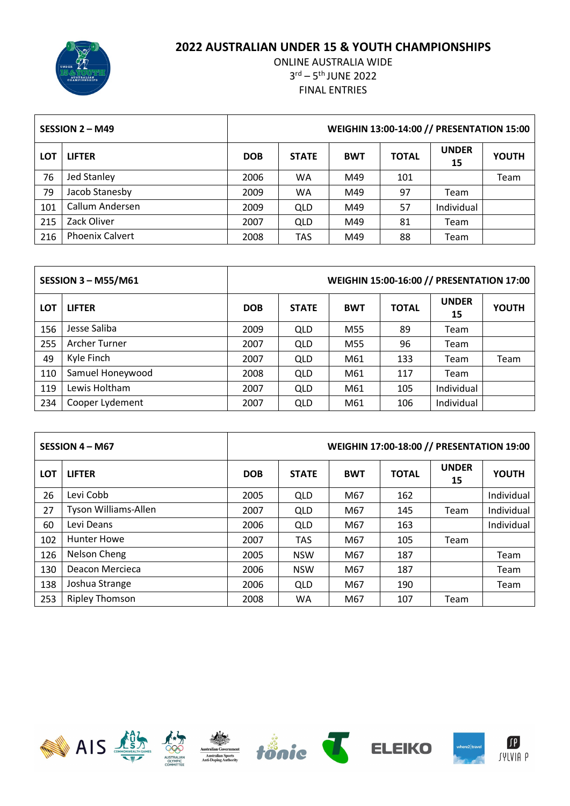

|            | SESSION 2 - M49        | WEIGHIN 13:00-14:00 // PRESENTATION 15:00 |              |            |              |                    |              |  |
|------------|------------------------|-------------------------------------------|--------------|------------|--------------|--------------------|--------------|--|
| <b>LOT</b> | <b>LIFTER</b>          | <b>DOB</b>                                | <b>STATE</b> | <b>BWT</b> | <b>TOTAL</b> | <b>UNDER</b><br>15 | <b>YOUTH</b> |  |
| 76         | <b>Jed Stanley</b>     | 2006                                      | WA           | M49        | 101          |                    | Team         |  |
| 79         | Jacob Stanesby         | 2009                                      | <b>WA</b>    | M49        | 97           | Team               |              |  |
| 101        | Callum Andersen        | 2009                                      | QLD          | M49        | 57           | Individual         |              |  |
| 215        | Zack Oliver            | 2007                                      | QLD          | M49        | 81           | Team               |              |  |
| 216        | <b>Phoenix Calvert</b> | 2008                                      | <b>TAS</b>   | M49        | 88           | Team               |              |  |

|            | <b>SESSION 3 - M55/M61</b> | WEIGHIN 15:00-16:00 // PRESENTATION 17:00 |              |            |              |                    |              |  |
|------------|----------------------------|-------------------------------------------|--------------|------------|--------------|--------------------|--------------|--|
| <b>LOT</b> | <b>LIFTER</b>              | <b>DOB</b>                                | <b>STATE</b> | <b>BWT</b> | <b>TOTAL</b> | <b>UNDER</b><br>15 | <b>YOUTH</b> |  |
| 156        | Jesse Saliba               | 2009                                      | QLD          | M55        | 89           | Team               |              |  |
| 255        | Archer Turner              | 2007                                      | <b>QLD</b>   | M55        | 96           | Team               |              |  |
| 49         | Kyle Finch                 | 2007                                      | QLD          | M61        | 133          | Team               | Team         |  |
| 110        | Samuel Honeywood           | 2008                                      | QLD          | M61        | 117          | Team               |              |  |
| 119        | Lewis Holtham              | 2007                                      | QLD          | M61        | 105          | Individual         |              |  |
| 234        | Cooper Lydement            | 2007                                      | <b>QLD</b>   | M61        | 106          | Individual         |              |  |

|            | SESSION 4 - M67       | WEIGHIN 17:00-18:00 // PRESENTATION 19:00 |              |            |              |                    |              |  |
|------------|-----------------------|-------------------------------------------|--------------|------------|--------------|--------------------|--------------|--|
| <b>LOT</b> | <b>LIFTER</b>         | <b>DOB</b>                                | <b>STATE</b> | <b>BWT</b> | <b>TOTAL</b> | <b>UNDER</b><br>15 | <b>YOUTH</b> |  |
| 26         | Levi Cobb             | 2005                                      | <b>QLD</b>   | M67        | 162          |                    | Individual   |  |
| 27         | Tyson Williams-Allen  | 2007                                      | QLD          | M67        | 145          | Team               | Individual   |  |
| 60         | Levi Deans            | 2006                                      | <b>QLD</b>   | M67        | 163          |                    | Individual   |  |
| 102        | <b>Hunter Howe</b>    | 2007                                      | <b>TAS</b>   | M67        | 105          | Team               |              |  |
| 126        | Nelson Cheng          | 2005                                      | <b>NSW</b>   | M67        | 187          |                    | Team         |  |
| 130        | Deacon Mercieca       | 2006                                      | <b>NSW</b>   | M67        | 187          |                    | Team         |  |
| 138        | Joshua Strange        | 2006                                      | <b>QLD</b>   | M67        | 190          |                    | Team         |  |
| 253        | <b>Ripley Thomson</b> | 2008                                      | <b>WA</b>    | M67        | 107          | Team               |              |  |













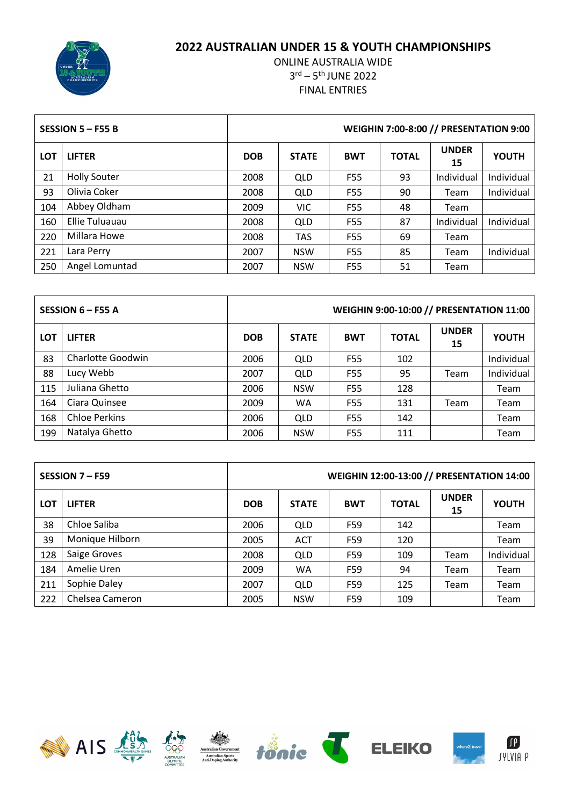

|            | SESSION $5 - F55B$  | <b>WEIGHIN 7:00-8:00 // PRESENTATION 9:00</b> |              |                 |              |                    |              |  |
|------------|---------------------|-----------------------------------------------|--------------|-----------------|--------------|--------------------|--------------|--|
| <b>LOT</b> | <b>LIFTER</b>       | <b>DOB</b>                                    | <b>STATE</b> | <b>BWT</b>      | <b>TOTAL</b> | <b>UNDER</b><br>15 | <b>YOUTH</b> |  |
| 21         | <b>Holly Souter</b> | 2008                                          | QLD          | F55             | 93           | Individual         | Individual   |  |
| 93         | Olivia Coker        | 2008                                          | <b>QLD</b>   | F55             | 90           | Team               | Individual   |  |
| 104        | Abbey Oldham        | 2009                                          | <b>VIC</b>   | F55             | 48           | Team               |              |  |
| 160        | Ellie Tuluauau      | 2008                                          | <b>QLD</b>   | F55             | 87           | Individual         | Individual   |  |
| 220        | Millara Howe        | 2008                                          | <b>TAS</b>   | F <sub>55</sub> | 69           | Team               |              |  |
| 221        | Lara Perry          | 2007                                          | <b>NSW</b>   | F55             | 85           | Team               | Individual   |  |
| 250        | Angel Lomuntad      | 2007                                          | <b>NSW</b>   | F55             | 51           | Team               |              |  |

|            | SESSION 6 - F55 A    | <b>WEIGHIN 9:00-10:00 // PRESENTATION 11:00</b> |              |            |              |                    |              |  |
|------------|----------------------|-------------------------------------------------|--------------|------------|--------------|--------------------|--------------|--|
| <b>LOT</b> | <b>LIFTER</b>        | <b>DOB</b>                                      | <b>STATE</b> | <b>BWT</b> | <b>TOTAL</b> | <b>UNDER</b><br>15 | <b>YOUTH</b> |  |
| 83         | Charlotte Goodwin    | 2006                                            | QLD          | F55        | 102          |                    | Individual   |  |
| 88         | Lucy Webb            | 2007                                            | QLD          | F55        | 95           | Team               | Individual   |  |
| 115        | Juliana Ghetto       | 2006                                            | <b>NSW</b>   | F55        | 128          |                    | Team         |  |
| 164        | Ciara Quinsee        | 2009                                            | <b>WA</b>    | F55        | 131          | Team               | Team         |  |
| 168        | <b>Chloe Perkins</b> | 2006                                            | QLD          | F55        | 142          |                    | Team         |  |
| 199        | Natalya Ghetto       | 2006                                            | <b>NSW</b>   | F55        | 111          |                    | Team         |  |

|            | SESSION 7 - F59 | WEIGHIN 12:00-13:00 // PRESENTATION 14:00 |              |            |              |                    |              |  |
|------------|-----------------|-------------------------------------------|--------------|------------|--------------|--------------------|--------------|--|
| <b>LOT</b> | <b>LIFTER</b>   | <b>DOB</b>                                | <b>STATE</b> | <b>BWT</b> | <b>TOTAL</b> | <b>UNDER</b><br>15 | <b>YOUTH</b> |  |
| 38         | Chloe Saliba    | 2006                                      | QLD          | F59        | 142          |                    | Team         |  |
| 39         | Monique Hilborn | 2005                                      | <b>ACT</b>   | F59        | 120          |                    | Team         |  |
| 128        | Saige Groves    | 2008                                      | QLD          | F59        | 109          | Team               | Individual   |  |
| 184        | Amelie Uren     | 2009                                      | <b>WA</b>    | F59        | 94           | Team               | Team         |  |
| 211        | Sophie Daley    | 2007                                      | QLD          | F59        | 125          | Team               | Team         |  |
| 222        | Chelsea Cameron | 2005                                      | <b>NSW</b>   | F59        | 109          |                    | Team         |  |













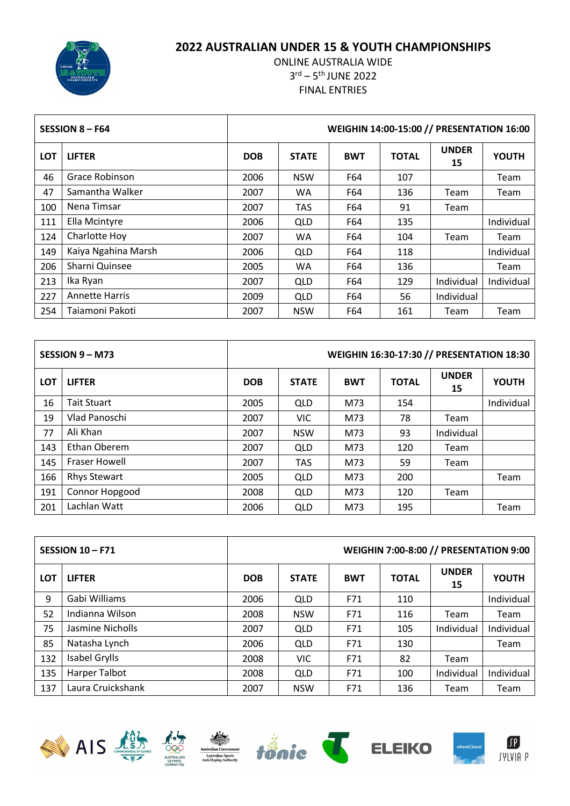# AUSTRALIAN<br>CHAMPIONSHIP

### **AUSTRALIAN UNDER 15 & YOUTH CHAMPIONSHIPS**

| WEIGHIN 14:00-15:00 // PRESENTATION 16:00<br>SESSION $8 - F64$ |                       |            |              |            |              |                    |              |
|----------------------------------------------------------------|-----------------------|------------|--------------|------------|--------------|--------------------|--------------|
| <b>LOT</b>                                                     | <b>LIFTER</b>         | <b>DOB</b> | <b>STATE</b> | <b>BWT</b> | <b>TOTAL</b> | <b>UNDER</b><br>15 | <b>YOUTH</b> |
| 46                                                             | Grace Robinson        | 2006       | <b>NSW</b>   | F64        | 107          |                    | Team         |
| 47                                                             | Samantha Walker       | 2007       | <b>WA</b>    | F64        | 136          | Team               | Team         |
| 100                                                            | Nena Timsar           | 2007       | <b>TAS</b>   | F64        | 91           | Team               |              |
| 111                                                            | Ella Mcintyre         | 2006       | <b>QLD</b>   | F64        | 135          |                    | Individual   |
| 124                                                            | Charlotte Hoy         | 2007       | <b>WA</b>    | F64        | 104          | Team               | Team         |
| 149                                                            | Kaiya Ngahina Marsh   | 2006       | <b>QLD</b>   | F64        | 118          |                    | Individual   |
| 206                                                            | Sharni Quinsee        | 2005       | <b>WA</b>    | F64        | 136          |                    | Team         |
| 213                                                            | Ika Ryan              | 2007       | <b>QLD</b>   | F64        | 129          | Individual         | Individual   |
| 227                                                            | <b>Annette Harris</b> | 2009       | <b>QLD</b>   | F64        | 56           | Individual         |              |
| 254                                                            | Taiamoni Pakoti       | 2007       | <b>NSW</b>   | F64        | 161          | Team               | Team         |

|            | SESSION 9 - M73      | WEIGHIN 16:30-17:30 // PRESENTATION 18:30 |              |            |              |                    |              |  |
|------------|----------------------|-------------------------------------------|--------------|------------|--------------|--------------------|--------------|--|
| <b>LOT</b> | <b>LIFTER</b>        | <b>DOB</b>                                | <b>STATE</b> | <b>BWT</b> | <b>TOTAL</b> | <b>UNDER</b><br>15 | <b>YOUTH</b> |  |
| 16         | <b>Tait Stuart</b>   | 2005                                      | <b>QLD</b>   | M73        | 154          |                    | Individual   |  |
| 19         | Vlad Panoschi        | 2007                                      | <b>VIC</b>   | M73        | 78           | Team               |              |  |
| 77         | Ali Khan             | 2007                                      | <b>NSW</b>   | M73        | 93           | Individual         |              |  |
| 143        | Ethan Oberem         | 2007                                      | <b>QLD</b>   | M73        | 120          | Team               |              |  |
| 145        | <b>Fraser Howell</b> | 2007                                      | <b>TAS</b>   | M73        | 59           | Team               |              |  |
| 166        | <b>Rhys Stewart</b>  | 2005                                      | <b>QLD</b>   | M73        | 200          |                    | Team         |  |
| 191        | Connor Hopgood       | 2008                                      | QLD          | M73        | 120          | Team               |              |  |
| 201        | Lachlan Watt         | 2006                                      | QLD          | M73        | 195          |                    | Team         |  |

|            | <b>SESSION 10-F71</b> |            |              |            |              | <b>WEIGHIN 7:00-8:00 // PRESENTATION 9:00</b> |              |
|------------|-----------------------|------------|--------------|------------|--------------|-----------------------------------------------|--------------|
| <b>LOT</b> | <b>LIFTER</b>         | <b>DOB</b> | <b>STATE</b> | <b>BWT</b> | <b>TOTAL</b> | <b>UNDER</b><br>15                            | <b>YOUTH</b> |
| 9          | Gabi Williams         | 2006       | QLD          | F71        | 110          |                                               | Individual   |
| 52         | Indianna Wilson       | 2008       | <b>NSW</b>   | F71        | 116          | Team                                          | Team         |
| 75         | Jasmine Nicholls      | 2007       | QLD          | F71        | 105          | Individual                                    | Individual   |
| 85         | Natasha Lynch         | 2006       | QLD          | F71        | 130          |                                               | Team         |
| 132        | Isabel Grylls         | 2008       | <b>VIC</b>   | F71        | 82           | Team                                          |              |
| 135        | Harper Talbot         | 2008       | QLD          | F71        | 100          | Individual                                    | Individual   |
| 137        | Laura Cruickshank     | 2007       | <b>NSW</b>   | F71        | 136          | Team                                          | Team         |











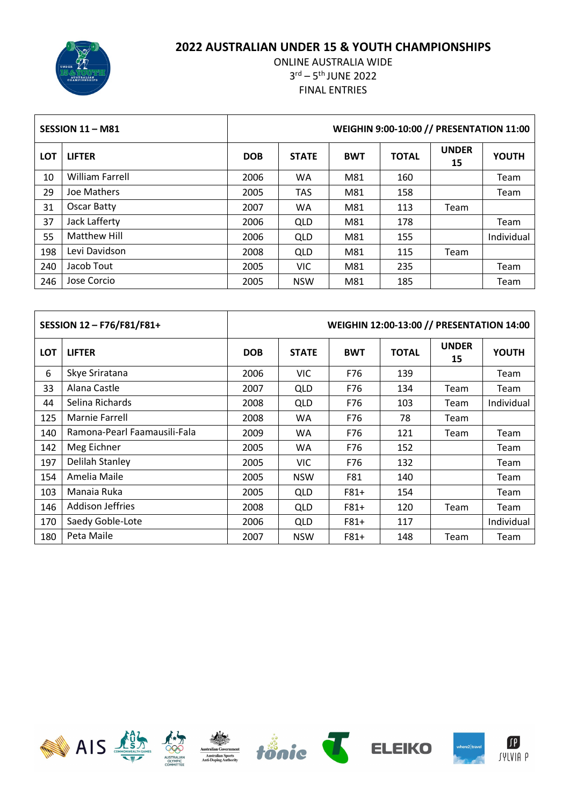

|            | SESSION 11 - M81       | WEIGHIN 9:00-10:00 // PRESENTATION 11:00 |              |            |              |                    |              |  |
|------------|------------------------|------------------------------------------|--------------|------------|--------------|--------------------|--------------|--|
| <b>LOT</b> | <b>LIFTER</b>          | <b>DOB</b>                               | <b>STATE</b> | <b>BWT</b> | <b>TOTAL</b> | <b>UNDER</b><br>15 | <b>YOUTH</b> |  |
| 10         | <b>William Farrell</b> | 2006                                     | <b>WA</b>    | M81        | 160          |                    | Team         |  |
| 29         | Joe Mathers            | 2005                                     | <b>TAS</b>   | M81        | 158          |                    | Team         |  |
| 31         | Oscar Batty            | 2007                                     | <b>WA</b>    | M81        | 113          | Team               |              |  |
| 37         | Jack Lafferty          | 2006                                     | <b>QLD</b>   | M81        | 178          |                    | Team         |  |
| 55         | Matthew Hill           | 2006                                     | <b>QLD</b>   | M81        | 155          |                    | Individual   |  |
| 198        | Levi Davidson          | 2008                                     | QLD          | M81        | 115          | Team               |              |  |
| 240        | Jacob Tout             | 2005                                     | <b>VIC</b>   | M81        | 235          |                    | Team         |  |
| 246        | Jose Corcio            | 2005                                     | <b>NSW</b>   | M81        | 185          |                    | Team         |  |

| SESSION 12-F76/F81/F81+ |                              | <b>WEIGHIN 12:00-13:00 // PRESENTATION 14:00</b> |              |            |              |                    |              |  |  |  |
|-------------------------|------------------------------|--------------------------------------------------|--------------|------------|--------------|--------------------|--------------|--|--|--|
| <b>LOT</b>              | <b>LIFTER</b>                | <b>DOB</b>                                       | <b>STATE</b> | <b>BWT</b> | <b>TOTAL</b> | <b>UNDER</b><br>15 | <b>YOUTH</b> |  |  |  |
| 6                       | Skye Sriratana               | 2006                                             | <b>VIC</b>   | F76        | 139          |                    | Team         |  |  |  |
| 33                      | Alana Castle                 | 2007                                             | <b>QLD</b>   | F76        | 134          | Team               | Team         |  |  |  |
| 44                      | Selina Richards              | 2008                                             | QLD          | F76        | 103          | Team               | Individual   |  |  |  |
| 125                     | Marnie Farrell               | 2008                                             | <b>WA</b>    | F76        | 78           | Team               |              |  |  |  |
| 140                     | Ramona-Pearl Faamausili-Fala | 2009                                             | <b>WA</b>    | F76        | 121          | Team               | Team         |  |  |  |
| 142                     | Meg Eichner                  | 2005                                             | <b>WA</b>    | F76        | 152          |                    | Team         |  |  |  |
| 197                     | <b>Delilah Stanley</b>       | 2005                                             | <b>VIC</b>   | F76        | 132          |                    | Team         |  |  |  |
| 154                     | Amelia Maile                 | 2005                                             | <b>NSW</b>   | F81        | 140          |                    | Team         |  |  |  |
| 103                     | Manaia Ruka                  | 2005                                             | QLD          | $F81+$     | 154          |                    | Team         |  |  |  |
| 146                     | <b>Addison Jeffries</b>      | 2008                                             | QLD          | $F81+$     | 120          | Team               | Team         |  |  |  |
| 170                     | Saedy Goble-Lote             | 2006                                             | QLD          | $F81+$     | 117          |                    | Individual   |  |  |  |
| 180                     | Peta Maile                   | 2007                                             | <b>NSW</b>   | $F81+$     | 148          | Team               | Team         |  |  |  |